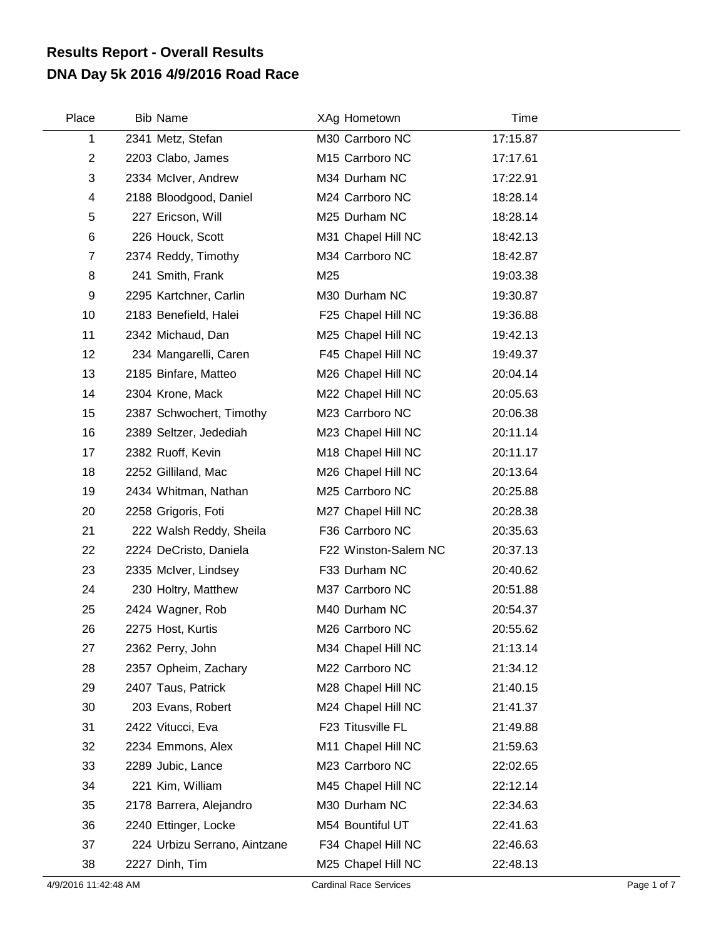## **DNA Day 5k 2016 4/9/2016 Road Race Results Report - Overall Results**

| Place                     | <b>Bib Name</b>              | XAg Hometown         | Time     |  |
|---------------------------|------------------------------|----------------------|----------|--|
| 1                         | 2341 Metz, Stefan            | M30 Carrboro NC      | 17:15.87 |  |
| $\mathbf{2}$              | 2203 Clabo, James            | M15 Carrboro NC      | 17:17.61 |  |
| $\ensuremath{\mathsf{3}}$ | 2334 McIver, Andrew          | M34 Durham NC        | 17:22.91 |  |
| 4                         | 2188 Bloodgood, Daniel       | M24 Carrboro NC      | 18:28.14 |  |
| 5                         | 227 Ericson, Will            | M25 Durham NC        | 18:28.14 |  |
| $\,6$                     | 226 Houck, Scott             | M31 Chapel Hill NC   | 18:42.13 |  |
| $\overline{7}$            | 2374 Reddy, Timothy          | M34 Carrboro NC      | 18:42.87 |  |
| 8                         | 241 Smith, Frank             | M25                  | 19:03.38 |  |
| 9                         | 2295 Kartchner, Carlin       | M30 Durham NC        | 19:30.87 |  |
| 10                        | 2183 Benefield, Halei        | F25 Chapel Hill NC   | 19:36.88 |  |
| 11                        | 2342 Michaud, Dan            | M25 Chapel Hill NC   | 19:42.13 |  |
| 12                        | 234 Mangarelli, Caren        | F45 Chapel Hill NC   | 19:49.37 |  |
| 13                        | 2185 Binfare, Matteo         | M26 Chapel Hill NC   | 20:04.14 |  |
| 14                        | 2304 Krone, Mack             | M22 Chapel Hill NC   | 20:05.63 |  |
| 15                        | 2387 Schwochert, Timothy     | M23 Carrboro NC      | 20:06.38 |  |
| 16                        | 2389 Seltzer, Jedediah       | M23 Chapel Hill NC   | 20:11.14 |  |
| 17                        | 2382 Ruoff, Kevin            | M18 Chapel Hill NC   | 20:11.17 |  |
| 18                        | 2252 Gilliland, Mac          | M26 Chapel Hill NC   | 20:13.64 |  |
| 19                        | 2434 Whitman, Nathan         | M25 Carrboro NC      | 20:25.88 |  |
| 20                        | 2258 Grigoris, Foti          | M27 Chapel Hill NC   | 20:28.38 |  |
| 21                        | 222 Walsh Reddy, Sheila      | F36 Carrboro NC      | 20:35.63 |  |
| 22                        | 2224 DeCristo, Daniela       | F22 Winston-Salem NC | 20:37.13 |  |
| 23                        | 2335 McIver, Lindsey         | F33 Durham NC        | 20:40.62 |  |
| 24                        | 230 Holtry, Matthew          | M37 Carrboro NC      | 20:51.88 |  |
| 25                        | 2424 Wagner, Rob             | M40 Durham NC        | 20:54.37 |  |
| 26                        | 2275 Host, Kurtis            | M26 Carrboro NC      | 20:55.62 |  |
| 27                        | 2362 Perry, John             | M34 Chapel Hill NC   | 21:13.14 |  |
| 28                        | 2357 Opheim, Zachary         | M22 Carrboro NC      | 21:34.12 |  |
| 29                        | 2407 Taus, Patrick           | M28 Chapel Hill NC   | 21:40.15 |  |
| 30                        | 203 Evans, Robert            | M24 Chapel Hill NC   | 21:41.37 |  |
| 31                        | 2422 Vitucci, Eva            | F23 Titusville FL    | 21:49.88 |  |
| 32                        | 2234 Emmons, Alex            | M11 Chapel Hill NC   | 21:59.63 |  |
| 33                        | 2289 Jubic, Lance            | M23 Carrboro NC      | 22:02.65 |  |
| 34                        | 221 Kim, William             | M45 Chapel Hill NC   | 22:12.14 |  |
| 35                        | 2178 Barrera, Alejandro      | M30 Durham NC        | 22:34.63 |  |
| 36                        | 2240 Ettinger, Locke         | M54 Bountiful UT     | 22:41.63 |  |
| 37                        | 224 Urbizu Serrano, Aintzane | F34 Chapel Hill NC   | 22:46.63 |  |
| 38                        | 2227 Dinh, Tim               | M25 Chapel Hill NC   | 22:48.13 |  |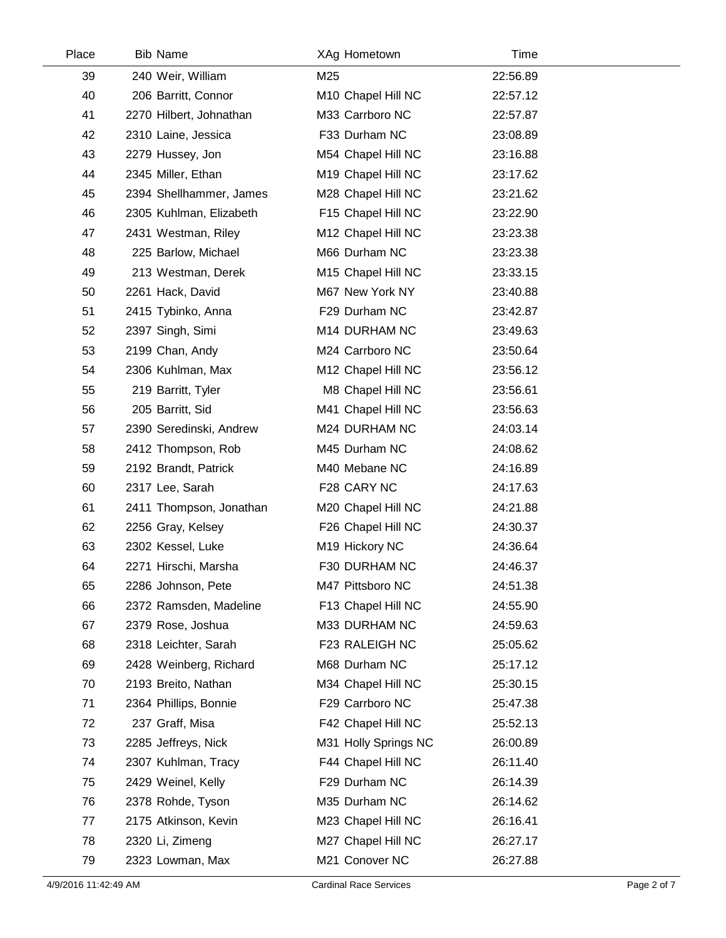| Place | <b>Bib Name</b>         |     | XAg Hometown         | Time     |  |
|-------|-------------------------|-----|----------------------|----------|--|
| 39    | 240 Weir, William       | M25 |                      | 22:56.89 |  |
| 40    | 206 Barritt, Connor     |     | M10 Chapel Hill NC   | 22:57.12 |  |
| 41    | 2270 Hilbert, Johnathan |     | M33 Carrboro NC      | 22:57.87 |  |
| 42    | 2310 Laine, Jessica     |     | F33 Durham NC        | 23:08.89 |  |
| 43    | 2279 Hussey, Jon        |     | M54 Chapel Hill NC   | 23:16.88 |  |
| 44    | 2345 Miller, Ethan      |     | M19 Chapel Hill NC   | 23:17.62 |  |
| 45    | 2394 Shellhammer, James |     | M28 Chapel Hill NC   | 23:21.62 |  |
| 46    | 2305 Kuhlman, Elizabeth |     | F15 Chapel Hill NC   | 23:22.90 |  |
| 47    | 2431 Westman, Riley     |     | M12 Chapel Hill NC   | 23:23.38 |  |
| 48    | 225 Barlow, Michael     |     | M66 Durham NC        | 23:23.38 |  |
| 49    | 213 Westman, Derek      |     | M15 Chapel Hill NC   | 23:33.15 |  |
| 50    | 2261 Hack, David        |     | M67 New York NY      | 23:40.88 |  |
| 51    | 2415 Tybinko, Anna      |     | F29 Durham NC        | 23:42.87 |  |
| 52    | 2397 Singh, Simi        |     | M14 DURHAM NC        | 23:49.63 |  |
| 53    | 2199 Chan, Andy         |     | M24 Carrboro NC      | 23:50.64 |  |
| 54    | 2306 Kuhlman, Max       |     | M12 Chapel Hill NC   | 23:56.12 |  |
| 55    | 219 Barritt, Tyler      |     | M8 Chapel Hill NC    | 23:56.61 |  |
| 56    | 205 Barritt, Sid        |     | M41 Chapel Hill NC   | 23:56.63 |  |
| 57    | 2390 Seredinski, Andrew |     | M24 DURHAM NC        | 24:03.14 |  |
| 58    | 2412 Thompson, Rob      |     | M45 Durham NC        | 24:08.62 |  |
| 59    | 2192 Brandt, Patrick    |     | M40 Mebane NC        | 24:16.89 |  |
| 60    | 2317 Lee, Sarah         |     | F28 CARY NC          | 24:17.63 |  |
| 61    | 2411 Thompson, Jonathan |     | M20 Chapel Hill NC   | 24:21.88 |  |
| 62    | 2256 Gray, Kelsey       |     | F26 Chapel Hill NC   | 24:30.37 |  |
| 63    | 2302 Kessel, Luke       |     | M19 Hickory NC       | 24:36.64 |  |
| 64    | 2271 Hirschi, Marsha    |     | F30 DURHAM NC        | 24:46.37 |  |
| 65    | 2286 Johnson, Pete      |     | M47 Pittsboro NC     | 24:51.38 |  |
| 66    | 2372 Ramsden, Madeline  |     | F13 Chapel Hill NC   | 24:55.90 |  |
| 67    | 2379 Rose, Joshua       |     | M33 DURHAM NC        | 24:59.63 |  |
| 68    | 2318 Leichter, Sarah    |     | F23 RALEIGH NC       | 25:05.62 |  |
| 69    | 2428 Weinberg, Richard  |     | M68 Durham NC        | 25:17.12 |  |
| 70    | 2193 Breito, Nathan     |     | M34 Chapel Hill NC   | 25:30.15 |  |
| 71    | 2364 Phillips, Bonnie   |     | F29 Carrboro NC      | 25:47.38 |  |
| 72    | 237 Graff, Misa         |     | F42 Chapel Hill NC   | 25:52.13 |  |
| 73    | 2285 Jeffreys, Nick     |     | M31 Holly Springs NC | 26:00.89 |  |
| 74    | 2307 Kuhlman, Tracy     |     | F44 Chapel Hill NC   | 26:11.40 |  |
| 75    | 2429 Weinel, Kelly      |     | F29 Durham NC        | 26:14.39 |  |
| 76    | 2378 Rohde, Tyson       |     | M35 Durham NC        | 26:14.62 |  |
| 77    | 2175 Atkinson, Kevin    |     | M23 Chapel Hill NC   | 26:16.41 |  |
| 78    | 2320 Li, Zimeng         |     | M27 Chapel Hill NC   | 26:27.17 |  |
| 79    | 2323 Lowman, Max        |     | M21 Conover NC       | 26:27.88 |  |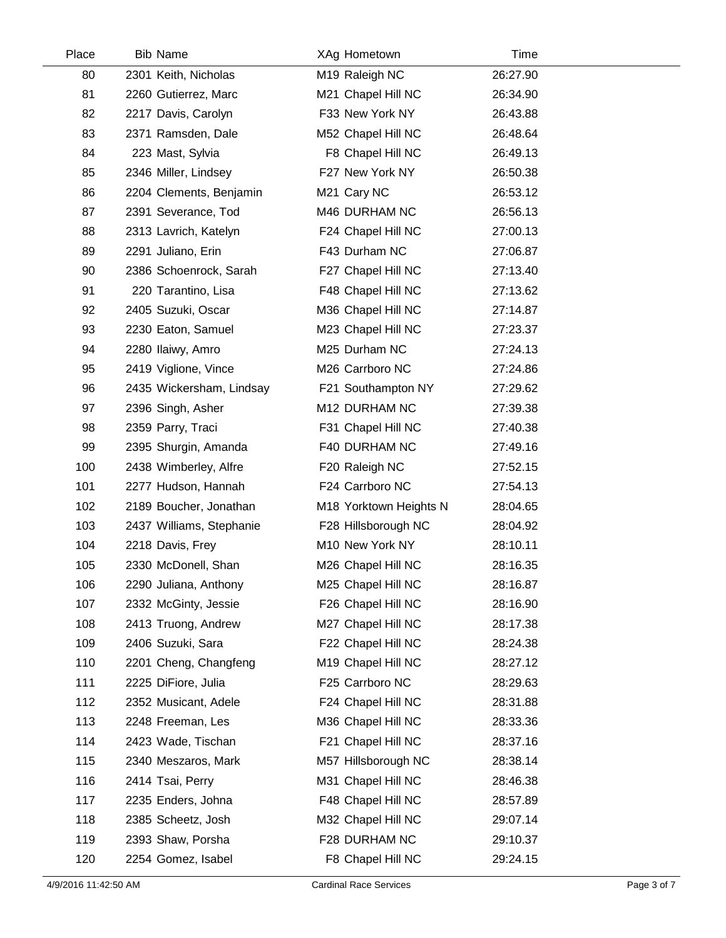| Place | <b>Bib Name</b>          | XAg Hometown           |          | Time |  |
|-------|--------------------------|------------------------|----------|------|--|
| 80    | 2301 Keith, Nicholas     | M19 Raleigh NC         | 26:27.90 |      |  |
| 81    | 2260 Gutierrez, Marc     | M21 Chapel Hill NC     | 26:34.90 |      |  |
| 82    | 2217 Davis, Carolyn      | F33 New York NY        | 26:43.88 |      |  |
| 83    | 2371 Ramsden, Dale       | M52 Chapel Hill NC     | 26:48.64 |      |  |
| 84    | 223 Mast, Sylvia         | F8 Chapel Hill NC      | 26:49.13 |      |  |
| 85    | 2346 Miller, Lindsey     | F27 New York NY        | 26:50.38 |      |  |
| 86    | 2204 Clements, Benjamin  | M21 Cary NC            | 26:53.12 |      |  |
| 87    | 2391 Severance, Tod      | M46 DURHAM NC          | 26:56.13 |      |  |
| 88    | 2313 Lavrich, Katelyn    | F24 Chapel Hill NC     | 27:00.13 |      |  |
| 89    | 2291 Juliano, Erin       | F43 Durham NC          | 27:06.87 |      |  |
| 90    | 2386 Schoenrock, Sarah   | F27 Chapel Hill NC     | 27:13.40 |      |  |
| 91    | 220 Tarantino, Lisa      | F48 Chapel Hill NC     | 27:13.62 |      |  |
| 92    | 2405 Suzuki, Oscar       | M36 Chapel Hill NC     | 27:14.87 |      |  |
| 93    | 2230 Eaton, Samuel       | M23 Chapel Hill NC     | 27:23.37 |      |  |
| 94    | 2280 Ilaiwy, Amro        | M25 Durham NC          | 27:24.13 |      |  |
| 95    | 2419 Viglione, Vince     | M26 Carrboro NC        | 27:24.86 |      |  |
| 96    | 2435 Wickersham, Lindsay | F21 Southampton NY     | 27:29.62 |      |  |
| 97    | 2396 Singh, Asher        | M12 DURHAM NC          | 27:39.38 |      |  |
| 98    | 2359 Parry, Traci        | F31 Chapel Hill NC     | 27:40.38 |      |  |
| 99    | 2395 Shurgin, Amanda     | F40 DURHAM NC          | 27:49.16 |      |  |
| 100   | 2438 Wimberley, Alfre    | F20 Raleigh NC         | 27:52.15 |      |  |
| 101   | 2277 Hudson, Hannah      | F24 Carrboro NC        | 27:54.13 |      |  |
| 102   | 2189 Boucher, Jonathan   | M18 Yorktown Heights N | 28:04.65 |      |  |
| 103   | 2437 Williams, Stephanie | F28 Hillsborough NC    | 28:04.92 |      |  |
| 104   | 2218 Davis, Frey         | M10 New York NY        | 28:10.11 |      |  |
| 105   | 2330 McDonell, Shan      | M26 Chapel Hill NC     | 28:16.35 |      |  |
| 106   | 2290 Juliana, Anthony    | M25 Chapel Hill NC     | 28:16.87 |      |  |
| 107   | 2332 McGinty, Jessie     | F26 Chapel Hill NC     | 28:16.90 |      |  |
| 108   | 2413 Truong, Andrew      | M27 Chapel Hill NC     | 28:17.38 |      |  |
| 109   | 2406 Suzuki, Sara        | F22 Chapel Hill NC     | 28:24.38 |      |  |
| 110   | 2201 Cheng, Changfeng    | M19 Chapel Hill NC     | 28:27.12 |      |  |
| 111   | 2225 DiFiore, Julia      | F25 Carrboro NC        | 28:29.63 |      |  |
| 112   | 2352 Musicant, Adele     | F24 Chapel Hill NC     | 28:31.88 |      |  |
| 113   | 2248 Freeman, Les        | M36 Chapel Hill NC     | 28:33.36 |      |  |
| 114   | 2423 Wade, Tischan       | F21 Chapel Hill NC     | 28:37.16 |      |  |
| 115   | 2340 Meszaros, Mark      | M57 Hillsborough NC    | 28:38.14 |      |  |
| 116   | 2414 Tsai, Perry         | M31 Chapel Hill NC     | 28:46.38 |      |  |
| 117   | 2235 Enders, Johna       | F48 Chapel Hill NC     | 28:57.89 |      |  |
| 118   | 2385 Scheetz, Josh       | M32 Chapel Hill NC     | 29:07.14 |      |  |
| 119   | 2393 Shaw, Porsha        | F28 DURHAM NC          | 29:10.37 |      |  |
| 120   | 2254 Gomez, Isabel       | F8 Chapel Hill NC      | 29:24.15 |      |  |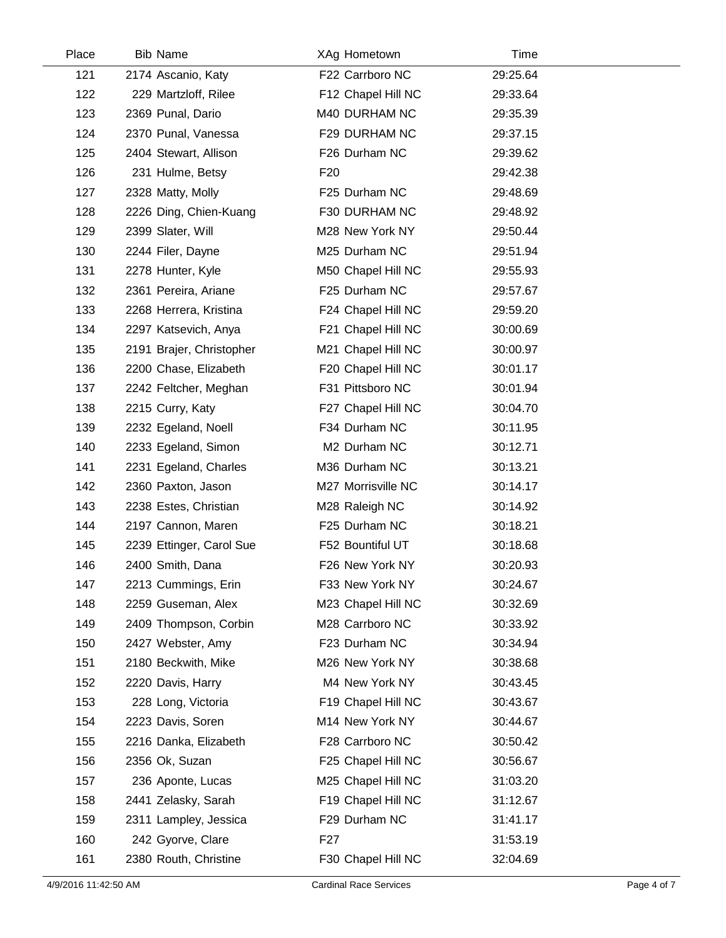| Place | <b>Bib Name</b>          | XAg Hometown             | Time     |  |
|-------|--------------------------|--------------------------|----------|--|
| 121   | 2174 Ascanio, Katy       | F22 Carrboro NC          | 29:25.64 |  |
| 122   | 229 Martzloff, Rilee     | F12 Chapel Hill NC       | 29:33.64 |  |
| 123   | 2369 Punal, Dario        | M40 DURHAM NC            | 29:35.39 |  |
| 124   | 2370 Punal, Vanessa      | F29 DURHAM NC            | 29:37.15 |  |
| 125   | 2404 Stewart, Allison    | F26 Durham NC            | 29:39.62 |  |
| 126   | 231 Hulme, Betsy         | F <sub>20</sub>          | 29:42.38 |  |
| 127   | 2328 Matty, Molly        | F25 Durham NC            | 29:48.69 |  |
| 128   | 2226 Ding, Chien-Kuang   | F30 DURHAM NC            | 29:48.92 |  |
| 129   | 2399 Slater, Will        | M28 New York NY          | 29:50.44 |  |
| 130   | 2244 Filer, Dayne        | M25 Durham NC            | 29:51.94 |  |
| 131   | 2278 Hunter, Kyle        | M50 Chapel Hill NC       | 29:55.93 |  |
| 132   | 2361 Pereira, Ariane     | F25 Durham NC            | 29:57.67 |  |
| 133   | 2268 Herrera, Kristina   | F24 Chapel Hill NC       | 29:59.20 |  |
| 134   | 2297 Katsevich, Anya     | F21 Chapel Hill NC       | 30:00.69 |  |
| 135   | 2191 Brajer, Christopher | M21 Chapel Hill NC       | 30:00.97 |  |
| 136   | 2200 Chase, Elizabeth    | F20 Chapel Hill NC       | 30:01.17 |  |
| 137   | 2242 Feltcher, Meghan    | F31 Pittsboro NC         | 30:01.94 |  |
| 138   | 2215 Curry, Katy         | F27 Chapel Hill NC       | 30:04.70 |  |
| 139   | 2232 Egeland, Noell      | F34 Durham NC            | 30:11.95 |  |
| 140   | 2233 Egeland, Simon      | M <sub>2</sub> Durham NC | 30:12.71 |  |
| 141   | 2231 Egeland, Charles    | M36 Durham NC            | 30:13.21 |  |
| 142   | 2360 Paxton, Jason       | M27 Morrisville NC       | 30:14.17 |  |
| 143   | 2238 Estes, Christian    | M28 Raleigh NC           | 30:14.92 |  |
| 144   | 2197 Cannon, Maren       | F25 Durham NC            | 30:18.21 |  |
| 145   | 2239 Ettinger, Carol Sue | F52 Bountiful UT         | 30:18.68 |  |
| 146   | 2400 Smith, Dana         | F26 New York NY          | 30:20.93 |  |
| 147   | 2213 Cummings, Erin      | F33 New York NY          | 30:24.67 |  |
| 148   | 2259 Guseman, Alex       | M23 Chapel Hill NC       | 30:32.69 |  |
| 149   | 2409 Thompson, Corbin    | M28 Carrboro NC          | 30:33.92 |  |
| 150   | 2427 Webster, Amy        | F23 Durham NC            | 30:34.94 |  |
| 151   | 2180 Beckwith, Mike      | M26 New York NY          | 30:38.68 |  |
| 152   | 2220 Davis, Harry        | M4 New York NY           | 30:43.45 |  |
| 153   | 228 Long, Victoria       | F19 Chapel Hill NC       | 30:43.67 |  |
| 154   | 2223 Davis, Soren        | M14 New York NY          | 30:44.67 |  |
| 155   | 2216 Danka, Elizabeth    | F28 Carrboro NC          | 30:50.42 |  |
| 156   | 2356 Ok, Suzan           | F25 Chapel Hill NC       | 30:56.67 |  |
| 157   | 236 Aponte, Lucas        | M25 Chapel Hill NC       | 31:03.20 |  |
| 158   | 2441 Zelasky, Sarah      | F19 Chapel Hill NC       | 31:12.67 |  |
| 159   | 2311 Lampley, Jessica    | F29 Durham NC            | 31:41.17 |  |
| 160   | 242 Gyorve, Clare        | F <sub>2</sub> 7         | 31:53.19 |  |
| 161   | 2380 Routh, Christine    | F30 Chapel Hill NC       | 32:04.69 |  |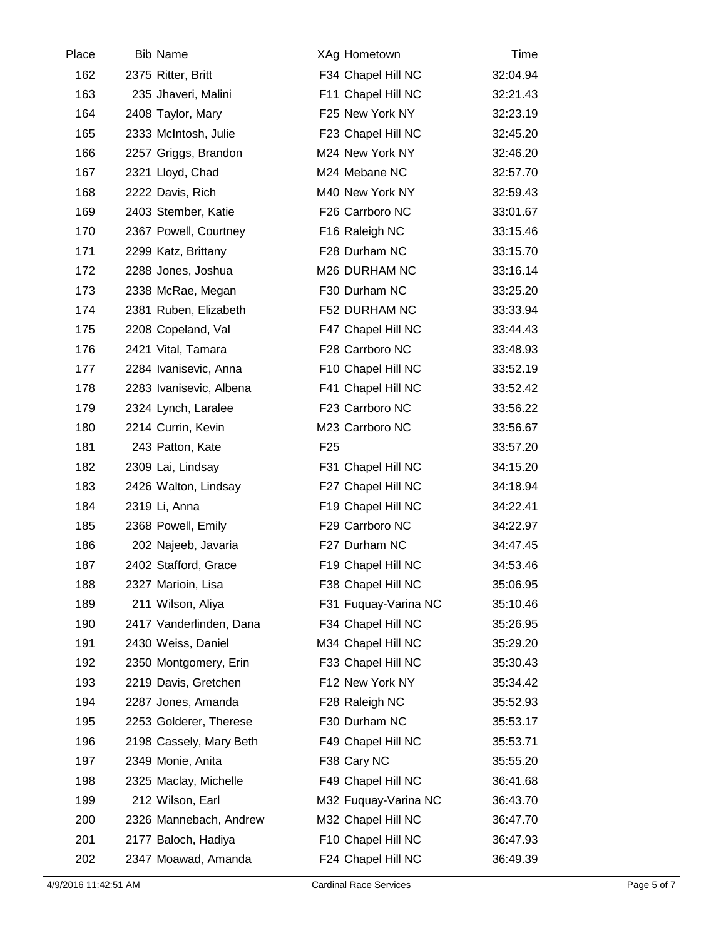| Place | <b>Bib Name</b>         | XAg Hometown         | Time     |  |
|-------|-------------------------|----------------------|----------|--|
| 162   | 2375 Ritter, Britt      | F34 Chapel Hill NC   | 32:04.94 |  |
| 163   | 235 Jhaveri, Malini     | F11 Chapel Hill NC   | 32:21.43 |  |
| 164   | 2408 Taylor, Mary       | F25 New York NY      | 32:23.19 |  |
| 165   | 2333 McIntosh, Julie    | F23 Chapel Hill NC   | 32:45.20 |  |
| 166   | 2257 Griggs, Brandon    | M24 New York NY      | 32:46.20 |  |
| 167   | 2321 Lloyd, Chad        | M24 Mebane NC        | 32:57.70 |  |
| 168   | 2222 Davis, Rich        | M40 New York NY      | 32:59.43 |  |
| 169   | 2403 Stember, Katie     | F26 Carrboro NC      | 33:01.67 |  |
| 170   | 2367 Powell, Courtney   | F16 Raleigh NC       | 33:15.46 |  |
| 171   | 2299 Katz, Brittany     | F28 Durham NC        | 33:15.70 |  |
| 172   | 2288 Jones, Joshua      | M26 DURHAM NC        | 33:16.14 |  |
| 173   | 2338 McRae, Megan       | F30 Durham NC        | 33:25.20 |  |
| 174   | 2381 Ruben, Elizabeth   | F52 DURHAM NC        | 33:33.94 |  |
| 175   | 2208 Copeland, Val      | F47 Chapel Hill NC   | 33:44.43 |  |
| 176   | 2421 Vital, Tamara      | F28 Carrboro NC      | 33:48.93 |  |
| 177   | 2284 Ivanisevic, Anna   | F10 Chapel Hill NC   | 33:52.19 |  |
| 178   | 2283 Ivanisevic, Albena | F41 Chapel Hill NC   | 33:52.42 |  |
| 179   | 2324 Lynch, Laralee     | F23 Carrboro NC      | 33:56.22 |  |
| 180   | 2214 Currin, Kevin      | M23 Carrboro NC      | 33:56.67 |  |
| 181   | 243 Patton, Kate        | F <sub>25</sub>      | 33:57.20 |  |
| 182   | 2309 Lai, Lindsay       | F31 Chapel Hill NC   | 34:15.20 |  |
| 183   | 2426 Walton, Lindsay    | F27 Chapel Hill NC   | 34:18.94 |  |
| 184   | 2319 Li, Anna           | F19 Chapel Hill NC   | 34:22.41 |  |
| 185   | 2368 Powell, Emily      | F29 Carrboro NC      | 34:22.97 |  |
| 186   | 202 Najeeb, Javaria     | F27 Durham NC        | 34:47.45 |  |
| 187   | 2402 Stafford, Grace    | F19 Chapel Hill NC   | 34:53.46 |  |
| 188   | 2327 Marioin, Lisa      | F38 Chapel Hill NC   | 35:06.95 |  |
| 189   | 211 Wilson, Aliya       | F31 Fuquay-Varina NC | 35:10.46 |  |
| 190   | 2417 Vanderlinden, Dana | F34 Chapel Hill NC   | 35:26.95 |  |
| 191   | 2430 Weiss, Daniel      | M34 Chapel Hill NC   | 35:29.20 |  |
| 192   | 2350 Montgomery, Erin   | F33 Chapel Hill NC   | 35:30.43 |  |
| 193   | 2219 Davis, Gretchen    | F12 New York NY      | 35:34.42 |  |
| 194   | 2287 Jones, Amanda      | F28 Raleigh NC       | 35:52.93 |  |
| 195   | 2253 Golderer, Therese  | F30 Durham NC        | 35:53.17 |  |
| 196   | 2198 Cassely, Mary Beth | F49 Chapel Hill NC   | 35:53.71 |  |
| 197   | 2349 Monie, Anita       | F38 Cary NC          | 35:55.20 |  |
| 198   | 2325 Maclay, Michelle   | F49 Chapel Hill NC   | 36:41.68 |  |
| 199   | 212 Wilson, Earl        | M32 Fuquay-Varina NC | 36:43.70 |  |
| 200   | 2326 Mannebach, Andrew  | M32 Chapel Hill NC   | 36:47.70 |  |
| 201   | 2177 Baloch, Hadiya     | F10 Chapel Hill NC   | 36:47.93 |  |
| 202   | 2347 Moawad, Amanda     | F24 Chapel Hill NC   | 36:49.39 |  |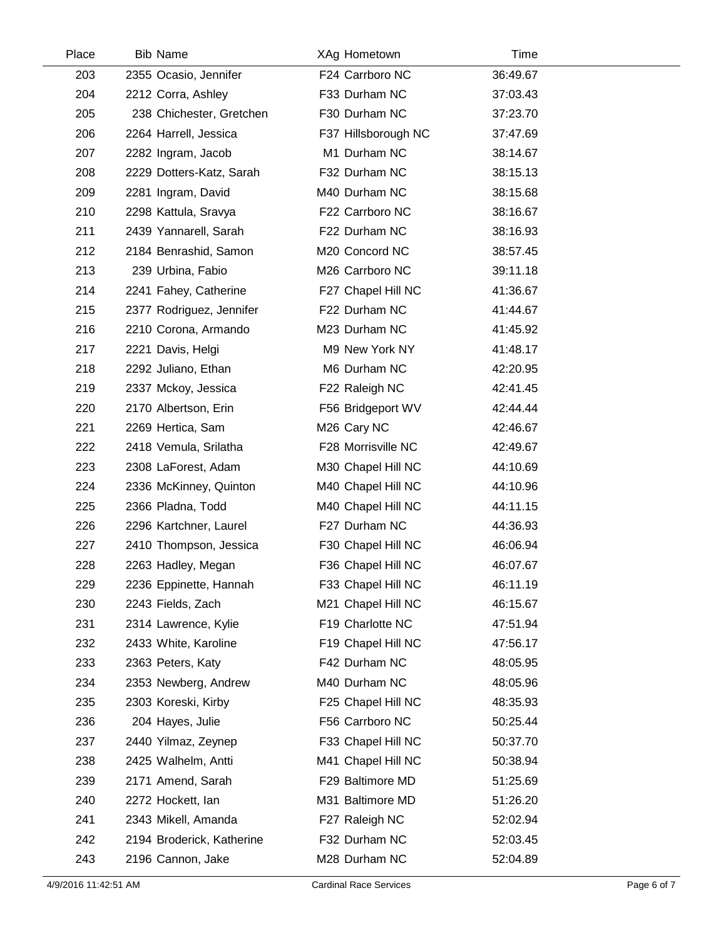| Place | <b>Bib Name</b>           | XAg Hometown        | Time     |  |
|-------|---------------------------|---------------------|----------|--|
| 203   | 2355 Ocasio, Jennifer     | F24 Carrboro NC     | 36:49.67 |  |
| 204   | 2212 Corra, Ashley        | F33 Durham NC       | 37:03.43 |  |
| 205   | 238 Chichester, Gretchen  | F30 Durham NC       | 37:23.70 |  |
| 206   | 2264 Harrell, Jessica     | F37 Hillsborough NC | 37:47.69 |  |
| 207   | 2282 Ingram, Jacob        | M1 Durham NC        | 38:14.67 |  |
| 208   | 2229 Dotters-Katz, Sarah  | F32 Durham NC       | 38:15.13 |  |
| 209   | 2281 Ingram, David        | M40 Durham NC       | 38:15.68 |  |
| 210   | 2298 Kattula, Sravya      | F22 Carrboro NC     | 38:16.67 |  |
| 211   | 2439 Yannarell, Sarah     | F22 Durham NC       | 38:16.93 |  |
| 212   | 2184 Benrashid, Samon     | M20 Concord NC      | 38:57.45 |  |
| 213   | 239 Urbina, Fabio         | M26 Carrboro NC     | 39:11.18 |  |
| 214   | 2241 Fahey, Catherine     | F27 Chapel Hill NC  | 41:36.67 |  |
| 215   | 2377 Rodriguez, Jennifer  | F22 Durham NC       | 41:44.67 |  |
| 216   | 2210 Corona, Armando      | M23 Durham NC       | 41:45.92 |  |
| 217   | 2221 Davis, Helgi         | M9 New York NY      | 41:48.17 |  |
| 218   | 2292 Juliano, Ethan       | M6 Durham NC        | 42:20.95 |  |
| 219   | 2337 Mckoy, Jessica       | F22 Raleigh NC      | 42:41.45 |  |
| 220   | 2170 Albertson, Erin      | F56 Bridgeport WV   | 42:44.44 |  |
| 221   | 2269 Hertica, Sam         | M26 Cary NC         | 42:46.67 |  |
| 222   | 2418 Vemula, Srilatha     | F28 Morrisville NC  | 42:49.67 |  |
| 223   | 2308 LaForest, Adam       | M30 Chapel Hill NC  | 44:10.69 |  |
| 224   | 2336 McKinney, Quinton    | M40 Chapel Hill NC  | 44:10.96 |  |
| 225   | 2366 Pladna, Todd         | M40 Chapel Hill NC  | 44:11.15 |  |
| 226   | 2296 Kartchner, Laurel    | F27 Durham NC       | 44:36.93 |  |
| 227   | 2410 Thompson, Jessica    | F30 Chapel Hill NC  | 46:06.94 |  |
| 228   | 2263 Hadley, Megan        | F36 Chapel Hill NC  | 46:07.67 |  |
| 229   | 2236 Eppinette, Hannah    | F33 Chapel Hill NC  | 46:11.19 |  |
| 230   | 2243 Fields, Zach         | M21 Chapel Hill NC  | 46:15.67 |  |
| 231   | 2314 Lawrence, Kylie      | F19 Charlotte NC    | 47:51.94 |  |
| 232   | 2433 White, Karoline      | F19 Chapel Hill NC  | 47:56.17 |  |
| 233   | 2363 Peters, Katy         | F42 Durham NC       | 48:05.95 |  |
| 234   | 2353 Newberg, Andrew      | M40 Durham NC       | 48:05.96 |  |
| 235   | 2303 Koreski, Kirby       | F25 Chapel Hill NC  | 48:35.93 |  |
| 236   | 204 Hayes, Julie          | F56 Carrboro NC     | 50:25.44 |  |
| 237   | 2440 Yilmaz, Zeynep       | F33 Chapel Hill NC  | 50:37.70 |  |
| 238   | 2425 Walhelm, Antti       | M41 Chapel Hill NC  | 50:38.94 |  |
| 239   | 2171 Amend, Sarah         | F29 Baltimore MD    | 51:25.69 |  |
| 240   | 2272 Hockett, lan         | M31 Baltimore MD    | 51:26.20 |  |
| 241   | 2343 Mikell, Amanda       | F27 Raleigh NC      | 52:02.94 |  |
| 242   | 2194 Broderick, Katherine | F32 Durham NC       | 52:03.45 |  |
| 243   | 2196 Cannon, Jake         | M28 Durham NC       | 52:04.89 |  |